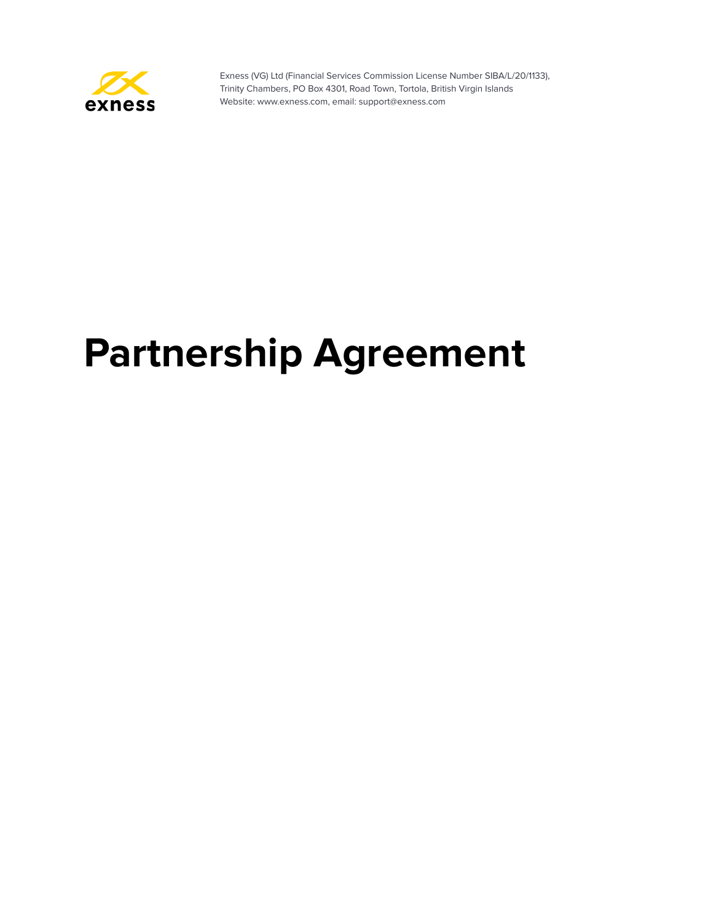

# **Partnership Agreement**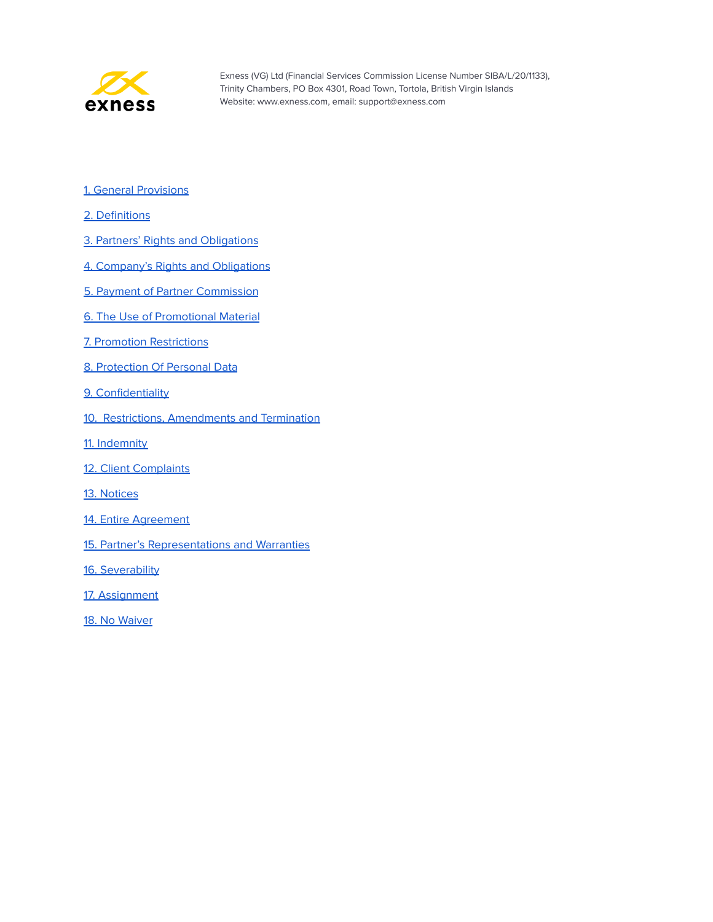

- 1. General [Provisions](#page-2-0)
- 2. [Definitions](#page-2-1)
- 3. Partners' Rights and [Obligations](#page-3-0)
- 4. Company's Rights and [Obligations](#page-5-0)
- 5. Payment of Partner [Commission](#page-6-0)
- 6. The Use of [Promotional](#page-8-0) Material
- 7. Promotion [Restrictions](#page-8-1)
- 8. [Protection](#page-10-0) Of Personal Data
- 9. [Confidentiality](#page-11-0)
- 10. Restrictions, Amendments and Termination
- 11. [Indemnity](#page-12-0)
- 12. Client [Complaints](#page-12-1)
- 13. [Notices](#page-13-0)
- 14. Entire [Agreement](#page-13-1)
- 15. Partner's [Representations](#page-13-2) and Warranties
- 16. [Severability](#page-14-0)
- 17. [Assignment](#page-14-1)
- 18. No [Waiver](#page-14-2)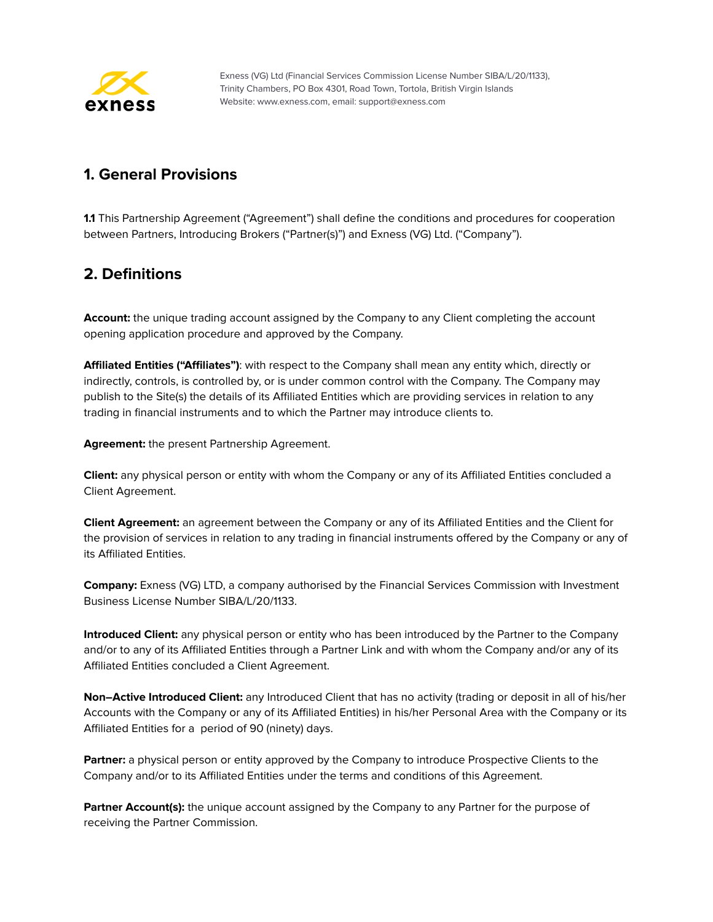

# <span id="page-2-0"></span>**1. General Provisions**

**1.1** This Partnership Agreement ("Agreement") shall define the conditions and procedures for cooperation between Partners, Introducing Brokers ("Partner(s)") and Exness (VG) Ltd. ("Company").

# <span id="page-2-1"></span>**2. Definitions**

**Account:** the unique trading account assigned by the Company to any Client completing the account opening application procedure and approved by the Company.

**Affiliated Entities ("Affiliates")**: with respect to the Company shall mean any entity which, directly or indirectly, controls, is controlled by, or is under common control with the Company. The Company may publish to the Site(s) the details of its Affiliated Entities which are providing services in relation to any trading in financial instruments and to which the Partner may introduce clients to.

**Agreement:** the present Partnership Agreement.

**Client:** any physical person or entity with whom the Company or any of its Affiliated Entities concluded a Client Agreement.

**Client Agreement:** an agreement between the Company or any of its Affiliated Entities and the Client for the provision of services in relation to any trading in financial instruments offered by the Company or any of its Affiliated Entities.

**Company:** Exness (VG) LTD, a company authorised by the Financial Services Commission with Investment Business License Number SIBA/L/20/1133.

**Introduced Client:** any physical person or entity who has been introduced by the Partner to the Company and/or to any of its Affiliated Entities through a Partner Link and with whom the Company and/or any of its Affiliated Entities concluded a Client Agreement.

**Non–Active Introduced Client:** any Introduced Client that has no activity (trading or deposit in all of his/her Accounts with the Company or any of its Affiliated Entities) in his/her Personal Area with the Company or its Affiliated Entities for a period of 90 (ninety) days.

**Partner:** a physical person or entity approved by the Company to introduce Prospective Clients to the Company and/or to its Affiliated Entities under the terms and conditions of this Agreement.

**Partner Account(s):** the unique account assigned by the Company to any Partner for the purpose of receiving the Partner Commission.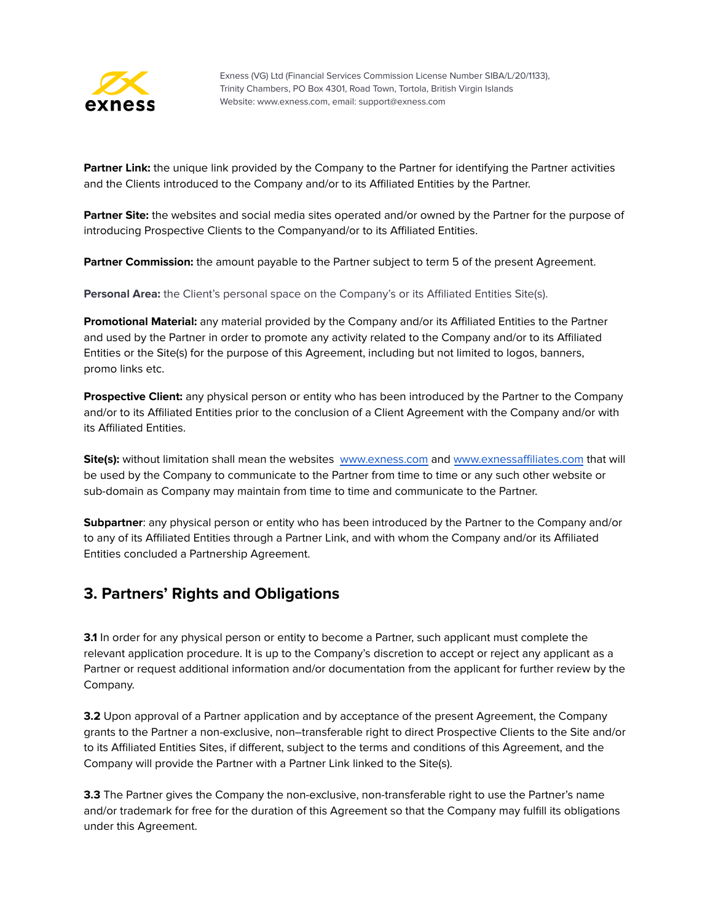

**Partner Link:** the unique link provided by the Company to the Partner for identifying the Partner activities and the Clients introduced to the Company and/or to its Affiliated Entities by the Partner.

**Partner Site:** the websites and social media sites operated and/or owned by the Partner for the purpose of introducing Prospective Clients to the Companyand/or to its Affiliated Entities.

**Partner Commission:** the amount payable to the Partner subject to term 5 of the present Agreement.

**Personal Area:** the Client's personal space on the Company's or its Affiliated Entities Site(s).

**Promotional Material:** any material provided by the Company and/or its Affiliated Entities to the Partner and used by the Partner in order to promote any activity related to the Company and/or to its Affiliated Entities or the Site(s) for the purpose of this Agreement, including but not limited to logos, banners, promo links etc.

**Prospective Client:** any physical person or entity who has been introduced by the Partner to the Company and/or to its Affiliated Entities prior to the conclusion of a Client Agreement with the Company and/or with its Affiliated Entities.

**Site(s):** without limitation shall mean the websites [www.exness.com](http://www.exness.com) and [www.exnessaffiliates.com](http://www.exnessaffiliates.com) that will be used by the Company to communicate to the Partner from time to time or any such other website or sub-domain as Company may maintain from time to time and communicate to the Partner.

**Subpartner**: any physical person or entity who has been introduced by the Partner to the Company and/or to any of its Affiliated Entities through a Partner Link, and with whom the Company and/or its Affiliated Entities concluded a Partnership Agreement.

#### <span id="page-3-0"></span>**3. Partners' Rights and Obligations**

**3.1** In order for any physical person or entity to become a Partner, such applicant must complete the relevant application procedure. It is up to the Company's discretion to accept or reject any applicant as a Partner or request additional information and/or documentation from the applicant for further review by the Company.

**3.2** Upon approval of a Partner application and by acceptance of the present Agreement, the Company grants to the Partner a non-exclusive, non–transferable right to direct Prospective Clients to the Site and/or to its Affiliated Entities Sites, if different, subject to the terms and conditions of this Agreement, and the Company will provide the Partner with a Partner Link linked to the Site(s).

**3.3** The Partner gives the Company the non-exclusive, non-transferable right to use the Partner's name and/or trademark for free for the duration of this Agreement so that the Company may fulfill its obligations under this Agreement.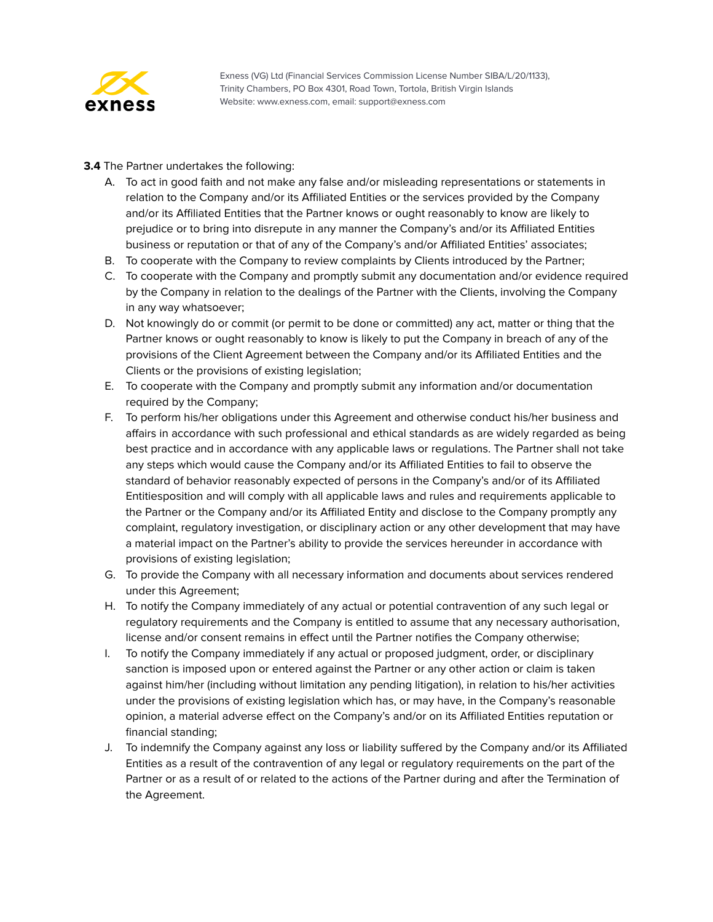

**3.4** The Partner undertakes the following:

- A. To act in good faith and not make any false and/or misleading representations or statements in relation to the Company and/or its Affiliated Entities or the services provided by the Company and/or its Affiliated Entities that the Partner knows or ought reasonably to know are likely to prejudice or to bring into disrepute in any manner the Company's and/or its Affiliated Entities business or reputation or that of any of the Company's and/or Affiliated Entities' associates;
- B. To cooperate with the Company to review complaints by Clients introduced by the Partner;
- C. To cooperate with the Company and promptly submit any documentation and/or evidence required by the Company in relation to the dealings of the Partner with the Clients, involving the Company in any way whatsoever;
- D. Not knowingly do or commit (or permit to be done or committed) any act, matter or thing that the Partner knows or ought reasonably to know is likely to put the Company in breach of any of the provisions of the Client Agreement between the Company and/or its Affiliated Entities and the Clients or the provisions of existing legislation;
- E. To cooperate with the Company and promptly submit any information and/or documentation required by the Company;
- F. To perform his/her obligations under this Agreement and otherwise conduct his/her business and affairs in accordance with such professional and ethical standards as are widely regarded as being best practice and in accordance with any applicable laws or regulations. The Partner shall not take any steps which would cause the Company and/or its Affiliated Entities to fail to observe the standard of behavior reasonably expected of persons in the Company's and/or of its Affiliated Entitiesposition and will comply with all applicable laws and rules and requirements applicable to the Partner or the Company and/or its Affiliated Entity and disclose to the Company promptly any complaint, regulatory investigation, or disciplinary action or any other development that may have a material impact on the Partner's ability to provide the services hereunder in accordance with provisions of existing legislation;
- G. To provide the Company with all necessary information and documents about services rendered under this Agreement;
- H. To notify the Company immediately of any actual or potential contravention of any such legal or regulatory requirements and the Company is entitled to assume that any necessary authorisation, license and/or consent remains in effect until the Partner notifies the Company otherwise;
- I. To notify the Company immediately if any actual or proposed judgment, order, or disciplinary sanction is imposed upon or entered against the Partner or any other action or claim is taken against him/her (including without limitation any pending litigation), in relation to his/her activities under the provisions of existing legislation which has, or may have, in the Company's reasonable opinion, a material adverse effect on the Company's and/or on its Affiliated Entities reputation or financial standing;
- J. To indemnify the Company against any loss or liability suffered by the Company and/or its Affiliated Entities as a result of the contravention of any legal or regulatory requirements on the part of the Partner or as a result of or related to the actions of the Partner during and after the Termination of the Agreement.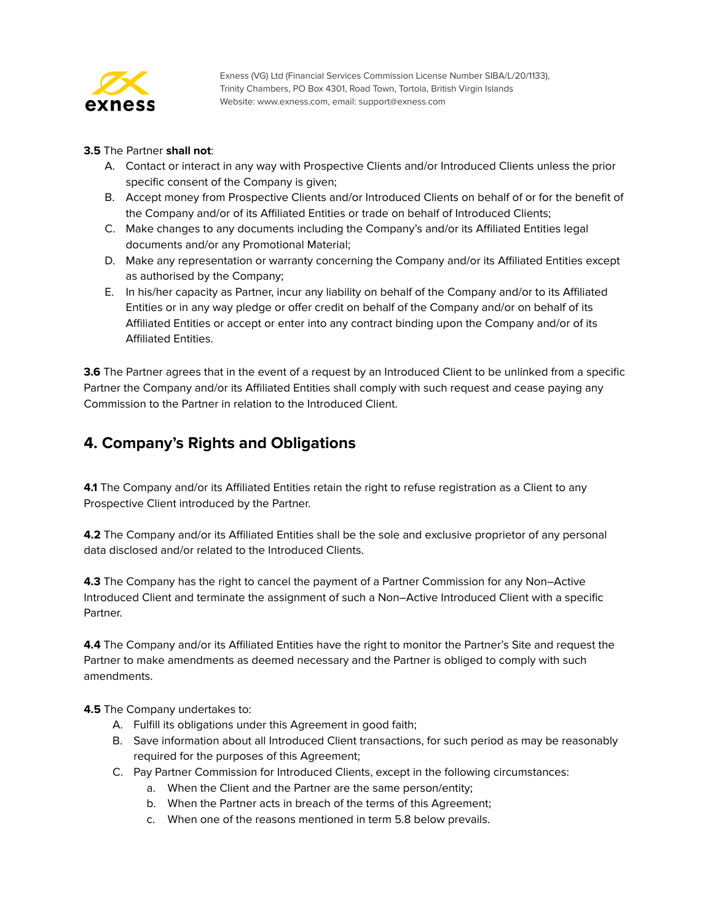

#### **3.5** The Partner **shall not**:

- A. Contact or interact in any way with Prospective Clients and/or Introduced Clients unless the prior specific consent of the Company is given;
- B. Accept money from Prospective Clients and/or Introduced Clients on behalf of or for the benefit of the Company and/or of its Affiliated Entities or trade on behalf of Introduced Clients;
- C. Make changes to any documents including the Company's and/or its Affiliated Entities legal documents and/or any Promotional Material;
- D. Make any representation or warranty concerning the Company and/or its Affiliated Entities except as authorised by the Company;
- E. In his/her capacity as Partner, incur any liability on behalf of the Company and/or to its Affiliated Entities or in any way pledge or offer credit on behalf of the Company and/or on behalf of its Affiliated Entities or accept or enter into any contract binding upon the Company and/or of its Affiliated Entities.

**3.6** The Partner agrees that in the event of a request by an Introduced Client to be unlinked from a specific Partner the Company and/or its Affiliated Entities shall comply with such request and cease paying any Commission to the Partner in relation to the Introduced Client.

# <span id="page-5-0"></span>**4. Company's Rights and Obligations**

**4.1** The Company and/or its Affiliated Entities retain the right to refuse registration as a Client to any Prospective Client introduced by the Partner.

**4.2** The Company and/or its Affiliated Entities shall be the sole and exclusive proprietor of any personal data disclosed and/or related to the Introduced Clients.

**4.3** The Company has the right to cancel the payment of a Partner Commission for any Non–Active Introduced Client and terminate the assignment of such a Non–Active Introduced Client with a specific Partner.

**4.4** The Company and/or its Affiliated Entities have the right to monitor the Partner's Site and request the Partner to make amendments as deemed necessary and the Partner is obliged to comply with such amendments.

**4.5** The Company undertakes to:

- A. Fulfill its obligations under this Agreement in good faith;
- B. Save information about all Introduced Client transactions, for such period as may be reasonably required for the purposes of this Agreement;
- C. Pay Partner Commission for Introduced Clients, except in the following circumstances:
	- a. When the Client and the Partner are the same person/entity;
	- b. When the Partner acts in breach of the terms of this Agreement;
	- c. When one of the reasons mentioned in term 5.8 below prevails.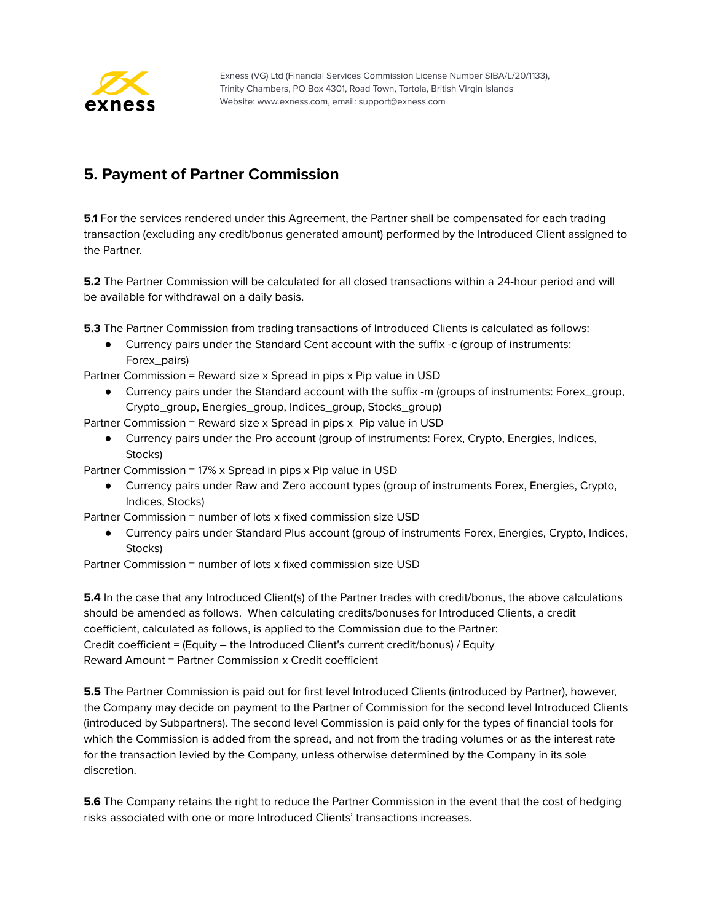

# <span id="page-6-0"></span>**5. Payment of Partner Commission**

**5.1** For the services rendered under this Agreement, the Partner shall be compensated for each trading transaction (excluding any credit/bonus generated amount) performed by the Introduced Client assigned to the Partner.

**5.2** The Partner Commission will be calculated for all closed transactions within a 24-hour period and will be available for withdrawal on a daily basis.

**5.3** The Partner Commission from trading transactions of Introduced Clients is calculated as follows:

● Currency pairs under the Standard Cent account with the suffix -c (group of instruments: Forex\_pairs)

Partner Commission = Reward size x Spread in pips x Pip value in USD

Currency pairs under the Standard account with the suffix -m (groups of instruments: Forex\_group, Crypto\_group, Energies\_group, Indices\_group, Stocks\_group)

Partner Commission = Reward size x Spread in pips x Pip value in USD

● Currency pairs under the Pro account (group of instruments: Forex, Crypto, Energies, Indices, Stocks)

Partner Commission = 17% x Spread in pips x Pip value in USD

● Currency pairs under Raw and Zero account types (group of instruments Forex, Energies, Crypto, Indices, Stocks)

Partner Commission = number of lots x fixed commission size USD

● Currency pairs under Standard Plus account (group of instruments Forex, Energies, Crypto, Indices, Stocks)

Partner Commission = number of lots x fixed commission size USD

**5.4** In the case that any Introduced Client(s) of the Partner trades with credit/bonus, the above calculations should be amended as follows. When calculating credits/bonuses for Introduced Clients, a credit coefficient, calculated as follows, is applied to the Commission due to the Partner: Credit coefficient = (Equity – the Introduced Client's current credit/bonus) / Equity Reward Amount = Partner Commission x Credit coefficient

**5.5** The Partner Commission is paid out for first level Introduced Clients (introduced by Partner), however, the Company may decide on payment to the Partner of Commission for the second level Introduced Clients (introduced by Subpartners). The second level Commission is paid only for the types of financial tools for which the Commission is added from the spread, and not from the trading volumes or as the interest rate for the transaction levied by the Company, unless otherwise determined by the Company in its sole discretion.

**5.6** The Company retains the right to reduce the Partner Commission in the event that the cost of hedging risks associated with one or more Introduced Clients' transactions increases.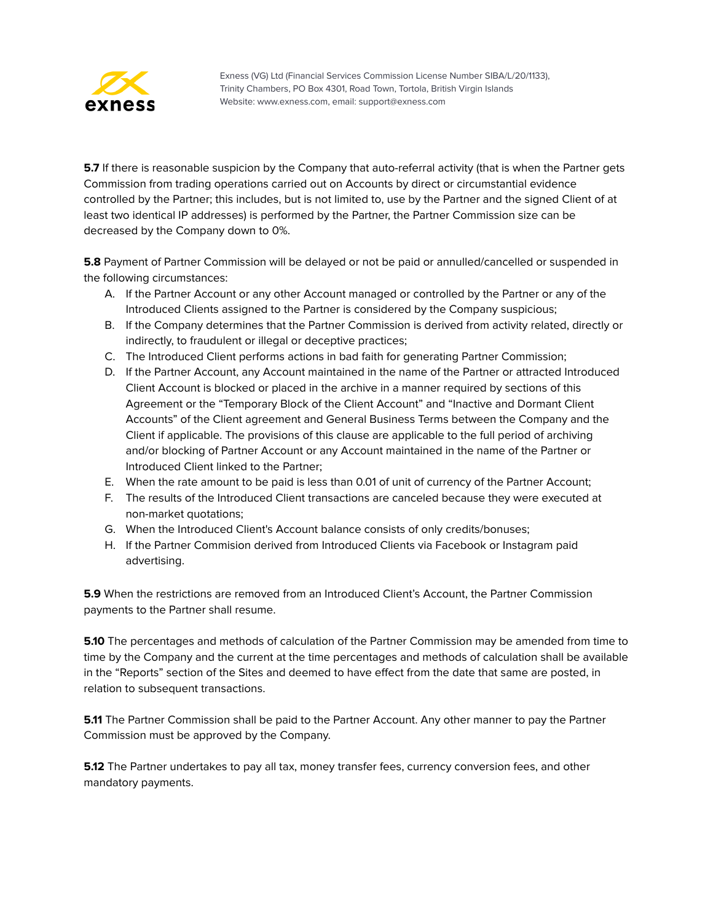

**5.7** If there is reasonable suspicion by the Company that auto-referral activity (that is when the Partner gets Commission from trading operations carried out on Accounts by direct or circumstantial evidence controlled by the Partner; this includes, but is not limited to, use by the Partner and the signed Client of at least two identical IP addresses) is performed by the Partner, the Partner Сommission size can be decreased by the Company down to 0%.

**5.8** Payment of Partner Commission will be delayed or not be paid or annulled/cancelled or suspended in the following circumstances:

- A. If the Partner Account or any other Account managed or controlled by the Partner or any of the Introduced Clients assigned to the Partner is considered by the Company suspicious;
- B. If the Company determines that the Partner Commission is derived from activity related, directly or indirectly, to fraudulent or illegal or deceptive practices;
- C. The Introduced Client performs actions in bad faith for generating Partner Commission;
- D. If the Partner Account, any Account maintained in the name of the Partner or attracted Introduced Client Account is blocked or placed in the archive in a manner required by sections of this Agreement or the "Temporary Block of the Client Account" and "Inactive and Dormant Client Accounts" of the Client agreement and General Business Terms between the Company and the Client if applicable. The provisions of this clause are applicable to the full period of archiving and/or blocking of Partner Account or any Account maintained in the name of the Partner or Introduced Client linked to the Partner;
- E. When the rate amount to be paid is less than 0.01 of unit of currency of the Partner Account;
- F. The results of the Introduced Client transactions are canceled because they were executed at non-market quotations;
- G. When the Introduced Client's Account balance consists of only credits/bonuses;
- H. If the Partner Commision derived from Introduced Clients via Facebook or Instagram paid advertising.

**5.9** When the restrictions are removed from an Introduced Client's Account, the Partner Commission payments to the Partner shall resume.

**5.10** The percentages and methods of calculation of the Partner Commission may be amended from time to time by the Company and the current at the time percentages and methods of calculation shall be available in the "Reports" section of the Sites and deemed to have effect from the date that same are posted, in relation to subsequent transactions.

**5.11** The Partner Commission shall be paid to the Partner Account. Any other manner to pay the Partner Commission must be approved by the Company.

**5.12** The Partner undertakes to pay all tax, money transfer fees, currency conversion fees, and other mandatory payments.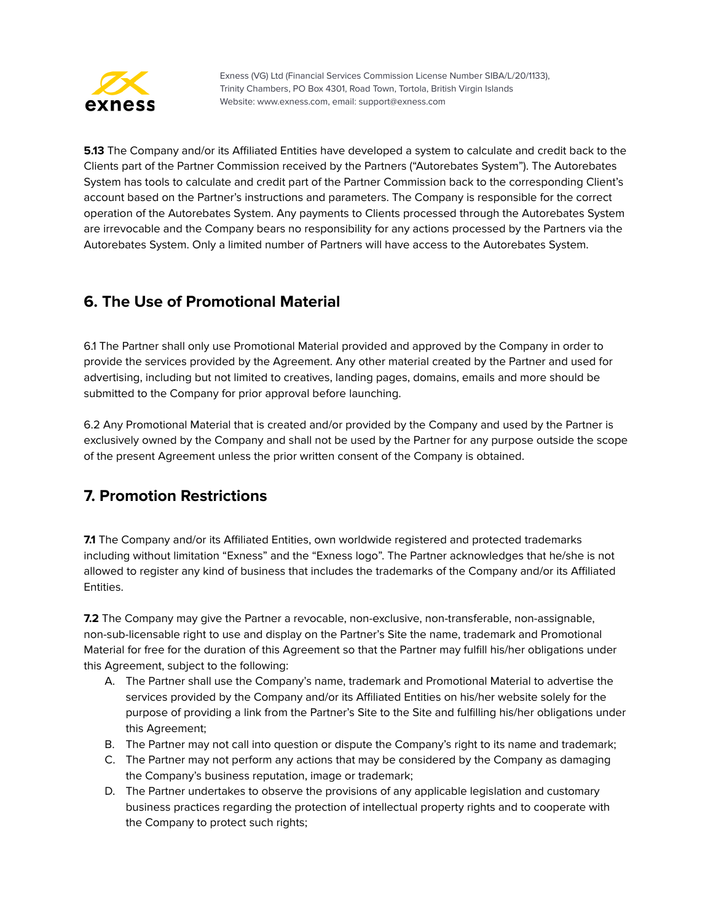

**5.13** The Company and/or its Affiliated Entities have developed a system to calculate and credit back to the Clients part of the Partner Commission received by the Partners ("Autorebates System"). The Autorebates System has tools to calculate and credit part of the Partner Commission back to the corresponding Client's account based on the Partner's instructions and parameters. The Company is responsible for the correct operation of the Autorebates System. Any payments to Clients processed through the Autorebates System are irrevocable and the Company bears no responsibility for any actions processed by the Partners via the Autorebates System. Only a limited number of Partners will have access to the Autorebates System.

# <span id="page-8-0"></span>**6. The Use of Promotional Material**

6.1 The Partner shall only use Promotional Material provided and approved by the Company in order to provide the services provided by the Agreement. Any other material created by the Partner and used for advertising, including but not limited to creatives, landing pages, domains, emails and more should be submitted to the Company for prior approval before launching.

6.2 Any Promotional Material that is created and/or provided by the Company and used by the Partner is exclusively owned by the Company and shall not be used by the Partner for any purpose outside the scope of the present Agreement unless the prior written consent of the Company is obtained.

# <span id="page-8-1"></span>**7. Promotion Restrictions**

**7.1** The Company and/or its Affiliated Entities, own worldwide registered and protected trademarks including without limitation "Exness" and the "Exness logo". The Partner acknowledges that he/she is not allowed to register any kind of business that includes the trademarks of the Company and/or its Affiliated Entities.

**7.2** The Company may give the Partner a revocable, non-exclusive, non-transferable, non-assignable, non-sub-licensable right to use and display on the Partner's Site the name, trademark and Promotional Material for free for the duration of this Agreement so that the Partner may fulfill his/her obligations under this Agreement, subject to the following:

- A. The Partner shall use the Company's name, trademark and Promotional Material to advertise the services provided by the Company and/or its Affiliated Entities on his/her website solely for the purpose of providing a link from the Partner's Site to the Site and fulfilling his/her obligations under this Agreement;
- B. The Partner may not call into question or dispute the Company's right to its name and trademark;
- C. The Partner may not perform any actions that may be considered by the Company as damaging the Company's business reputation, image or trademark;
- D. The Partner undertakes to observe the provisions of any applicable legislation and customary business practices regarding the protection of intellectual property rights and to cooperate with the Company to protect such rights;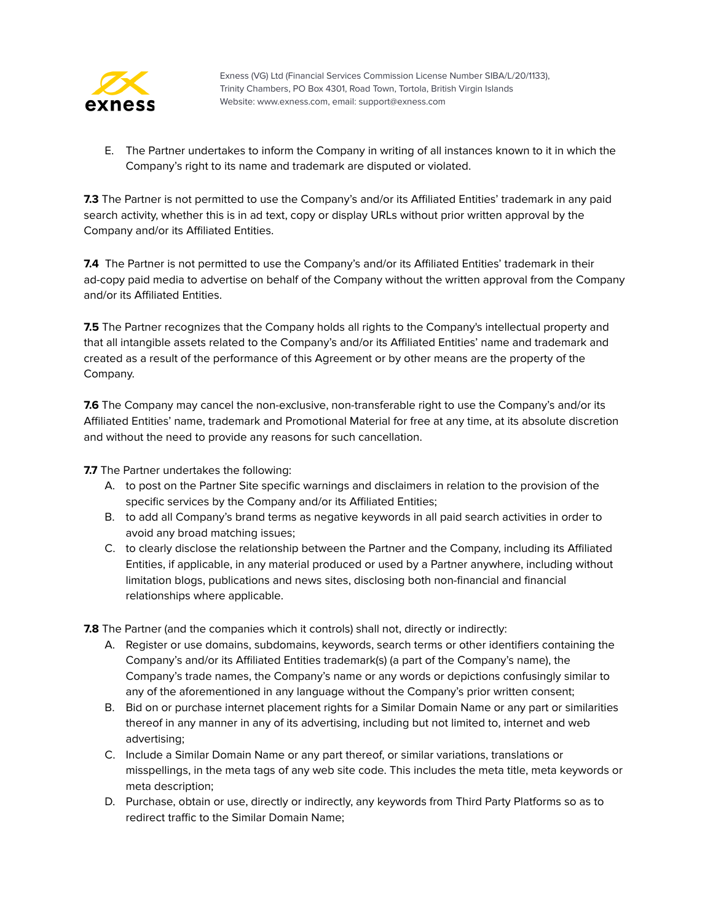

E. The Partner undertakes to inform the Company in writing of all instances known to it in which the Company's right to its name and trademark are disputed or violated.

**7.3** The Partner is not permitted to use the Company's and/or its Affiliated Entities' trademark in any paid search activity, whether this is in ad text, copy or display URLs without prior written approval by the Company and/or its Affiliated Entities.

**7.4** The Partner is not permitted to use the Company's and/or its Affiliated Entities' trademark in their ad-copy paid media to advertise on behalf of the Company without the written approval from the Company and/or its Affiliated Entities.

**7.5** The Partner recognizes that the Company holds all rights to the Company's intellectual property and that all intangible assets related to the Company's and/or its Affiliated Entities' name and trademark and created as a result of the performance of this Agreement or by other means are the property of the Company.

**7.6** The Company may cancel the non-exclusive, non-transferable right to use the Company's and/or its Affiliated Entities' name, trademark and Promotional Material for free at any time, at its absolute discretion and without the need to provide any reasons for such cancellation.

**7.7** The Partner undertakes the following:

- A. to post on the Partner Site specific warnings and disclaimers in relation to the provision of the specific services by the Company and/or its Affiliated Entities;
- B. to add all Company's brand terms as negative keywords in all paid search activities in order to avoid any broad matching issues;
- C. to clearly disclose the relationship between the Partner and the Company, including its Affiliated Entities, if applicable, in any material produced or used by a Partner anywhere, including without limitation blogs, publications and news sites, disclosing both non-financial and financial relationships where applicable.

**7.8** The Partner (and the companies which it controls) shall not, directly or indirectly:

- A. Register or use domains, subdomains, keywords, search terms or other identifiers containing the Company's and/or its Affiliated Entities trademark(s) (a part of the Company's name), the Company's trade names, the Company's name or any words or depictions confusingly similar to any of the aforementioned in any language without the Company's prior written consent;
- B. Bid on or purchase internet placement rights for a Similar Domain Name or any part or similarities thereof in any manner in any of its advertising, including but not limited to, internet and web advertising;
- C. Include a Similar Domain Name or any part thereof, or similar variations, translations or misspellings, in the meta tags of any web site code. This includes the meta title, meta keywords or meta description;
- D. Purchase, obtain or use, directly or indirectly, any keywords from Third Party Platforms so as to redirect traffic to the Similar Domain Name;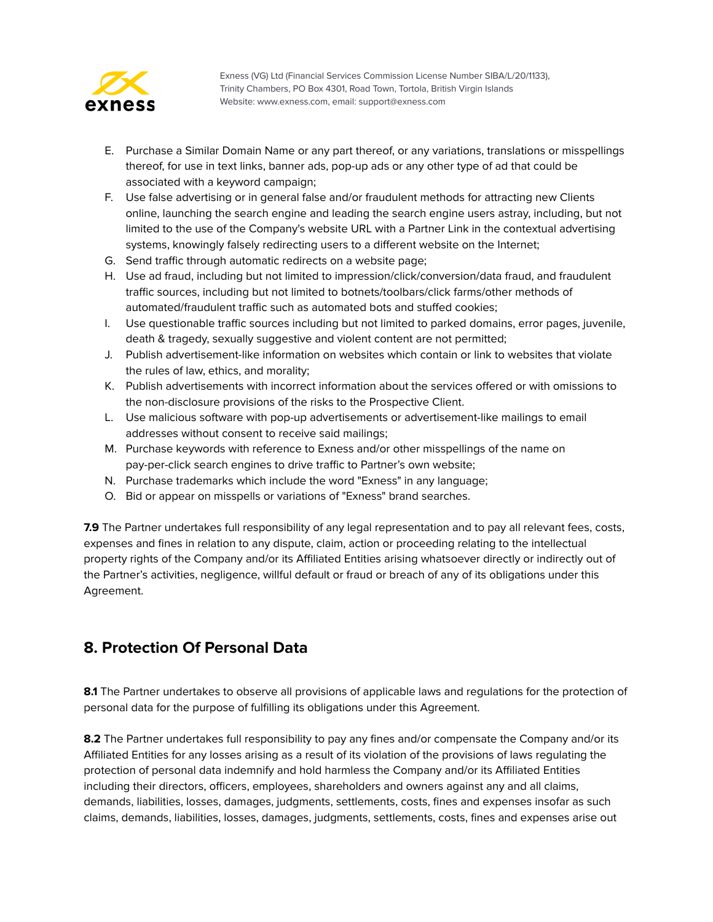

- E. Purchase a Similar Domain Name or any part thereof, or any variations, translations or misspellings thereof, for use in text links, banner ads, pop-up ads or any other type of ad that could be associated with a keyword campaign;
- F. Use false advertising or in general false and/or fraudulent methods for attracting new Clients online, launching the search engine and leading the search engine users astray, including, but not limited to the use of the Company's website URL with a Partner Link in the contextual advertising systems, knowingly falsely redirecting users to a different website on the Internet;
- G. Send traffic through automatic redirects on a website page;
- H. Use ad fraud, including but not limited to impression/click/conversion/data fraud, and fraudulent traffic sources, including but not limited to botnets/toolbars/click farms/other methods of automated/fraudulent traffic such as automated bots and stuffed cookies;
- I. Use questionable traffic sources including but not limited to parked domains, error pages, juvenile, death & tragedy, sexually suggestive and violent content are not permitted;
- J. Publish advertisement-like information on websites which contain or link to websites that violate the rules of law, ethics, and morality;
- K. Publish advertisements with incorrect information about the services offered or with omissions to the non-disclosure provisions of the risks to the Prospective Client.
- L. Use malicious software with pop-up advertisements or advertisement-like mailings to email addresses without consent to receive said mailings;
- M. Purchase keywords with reference to Exness and/or other misspellings of the name on pay-per-click search engines to drive traffic to Partner's own website;
- N. Purchase trademarks which include the word "Exness" in any language;
- O. Bid or appear on misspells or variations of "Exness" brand searches.

**7.9** The Partner undertakes full responsibility of any legal representation and to pay all relevant fees, costs, expenses and fines in relation to any dispute, claim, action or proceeding relating to the intellectual property rights of the Company and/or its Affiliated Entities arising whatsoever directly or indirectly out of the Partner's activities, negligence, willful default or fraud or breach of any of its obligations under this Agreement.

# <span id="page-10-0"></span>**8. Protection Of Personal Data**

**8.1** The Partner undertakes to observe all provisions of applicable laws and regulations for the protection of personal data for the purpose of fulfilling its obligations under this Agreement.

**8.2** The Partner undertakes full responsibility to pay any fines and/or compensate the Company and/or its Affiliated Entities for any losses arising as a result of its violation of the provisions of laws regulating the protection of personal data indemnify and hold harmless the Company and/or its Affiliated Entities including their directors, officers, employees, shareholders and owners against any and all claims, demands, liabilities, losses, damages, judgments, settlements, costs, fines and expenses insofar as such claims, demands, liabilities, losses, damages, judgments, settlements, costs, fines and expenses arise out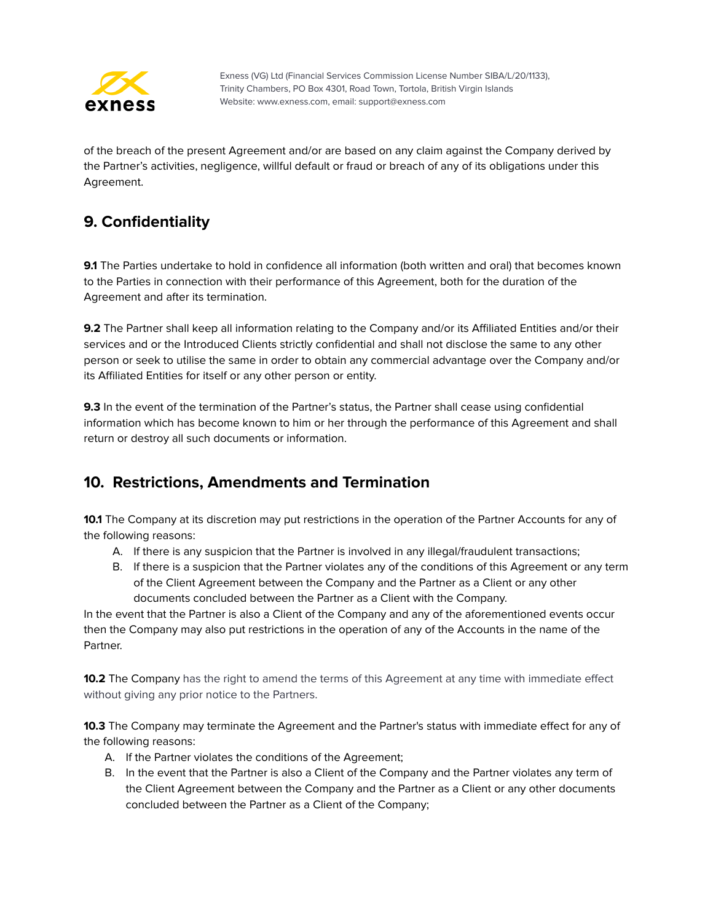

of the breach of the present Agreement and/or are based on any claim against the Company derived by the Partner's activities, negligence, willful default or fraud or breach of any of its obligations under this Agreement.

# <span id="page-11-0"></span>**9. Confidentiality**

**9.1** The Parties undertake to hold in confidence all information (both written and oral) that becomes known to the Parties in connection with their performance of this Agreement, both for the duration of the Agreement and after its termination.

**9.2** The Partner shall keep all information relating to the Company and/or its Affiliated Entities and/or their services and or the Introduced Clients strictly confidential and shall not disclose the same to any other person or seek to utilise the same in order to obtain any commercial advantage over the Company and/or its Affiliated Entities for itself or any other person or entity.

**9.3** In the event of the termination of the Partner's status, the Partner shall cease using confidential information which has become known to him or her through the performance of this Agreement and shall return or destroy all such documents or information.

# **10. Restrictions, Amendments and Termination**

**10.1** The Company at its discretion may put restrictions in the operation of the Partner Accounts for any of the following reasons:

- A. If there is any suspicion that the Partner is involved in any illegal/fraudulent transactions;
- B. If there is a suspicion that the Partner violates any of the conditions of this Agreement or any term of the Client Agreement between the Company and the Partner as a Client or any other documents concluded between the Partner as a Client with the Company.

In the event that the Partner is also a Client of the Company and any of the aforementioned events occur then the Company may also put restrictions in the operation of any of the Accounts in the name of the Partner.

**10.2** The Company has the right to amend the terms of this Agreement at any time with immediate effect without giving any prior notice to the Partners.

**10.3** The Company may terminate the Agreement and the Partner's status with immediate effect for any of the following reasons:

- A. If the Partner violates the conditions of the Agreement;
- B. In the event that the Partner is also a Client of the Company and the Partner violates any term of the Client Agreement between the Company and the Partner as a Client or any other documents concluded between the Partner as a Client of the Company;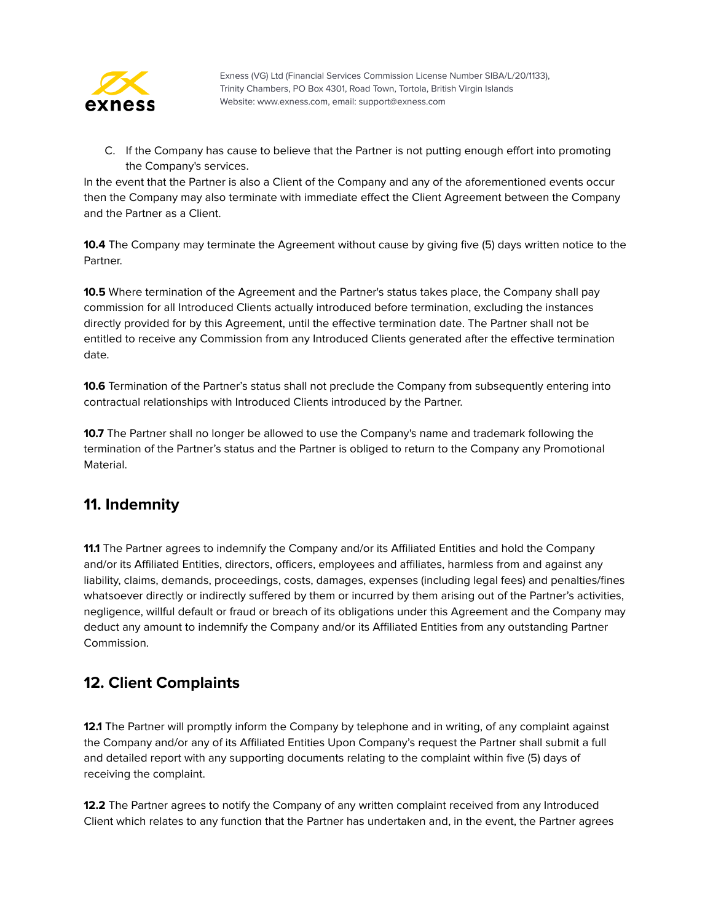

C. If the Company has cause to believe that the Partner is not putting enough effort into promoting the Company's services.

In the event that the Partner is also a Client of the Company and any of the aforementioned events occur then the Company may also terminate with immediate effect the Client Agreement between the Company and the Partner as a Client.

**10.4** The Company may terminate the Agreement without cause by giving five (5) days written notice to the Partner.

**10.5** Where termination of the Agreement and the Partner's status takes place, the Company shall pay commission for all Introduced Clients actually introduced before termination, excluding the instances directly provided for by this Agreement, until the effective termination date. The Partner shall not be entitled to receive any Commission from any Introduced Clients generated after the effective termination date.

**10.6** Termination of the Partner's status shall not preclude the Company from subsequently entering into contractual relationships with Introduced Clients introduced by the Partner.

**10.7** The Partner shall no longer be allowed to use the Company's name and trademark following the termination of the Partner's status and the Partner is obliged to return to the Company any Promotional Material.

# <span id="page-12-0"></span>**11. Indemnity**

**11.1** The Partner agrees to indemnify the Company and/or its Affiliated Entities and hold the Company and/or its Affiliated Entities, directors, officers, employees and affiliates, harmless from and against any liability, claims, demands, proceedings, costs, damages, expenses (including legal fees) and penalties/fines whatsoever directly or indirectly suffered by them or incurred by them arising out of the Partner's activities, negligence, willful default or fraud or breach of its obligations under this Agreement and the Company may deduct any amount to indemnify the Company and/or its Affiliated Entities from any outstanding Partner Commission.

# <span id="page-12-1"></span>**12. Client Complaints**

**12.1** The Partner will promptly inform the Company by telephone and in writing, of any complaint against the Company and/or any of its Affiliated Entities Upon Company's request the Partner shall submit a full and detailed report with any supporting documents relating to the complaint within five (5) days of receiving the complaint.

**12.2** The Partner agrees to notify the Company of any written complaint received from any Introduced Client which relates to any function that the Partner has undertaken and, in the event, the Partner agrees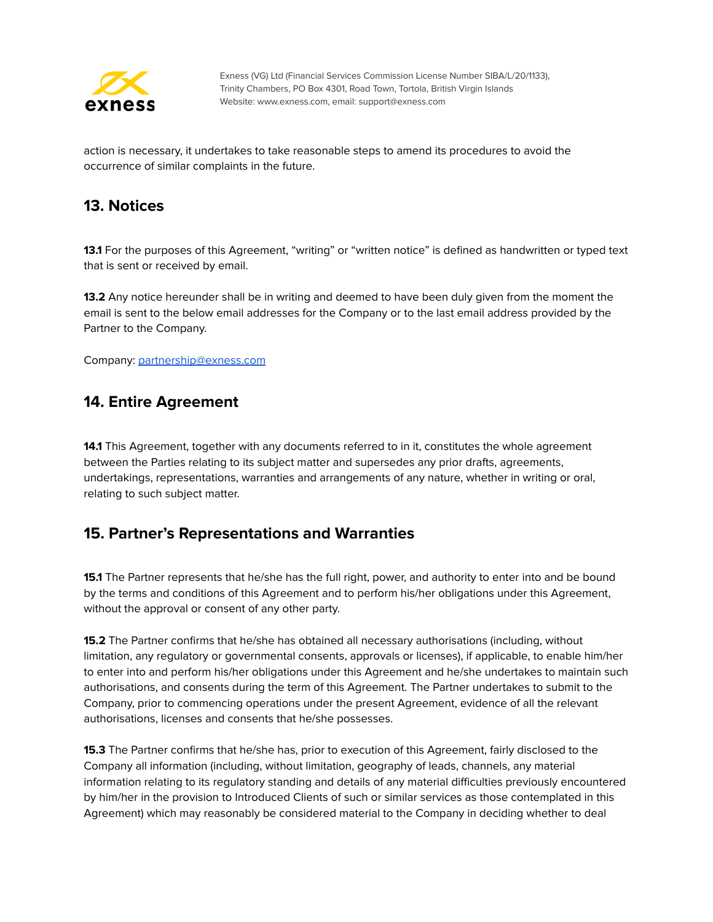

action is necessary, it undertakes to take reasonable steps to amend its procedures to avoid the occurrence of similar complaints in the future.

#### <span id="page-13-0"></span>**13. Notices**

**13.1** For the purposes of this Agreement, "writing" or "written notice" is defined as handwritten or typed text that is sent or received by email.

**13.2** Any notice hereunder shall be in writing and deemed to have been duly given from the moment the email is sent to the below email addresses for the Company or to the last email address provided by the Partner to the Company.

<span id="page-13-1"></span>Company: [partnership@exness.com](mailto:partnership@exness.com)

#### **14. Entire Agreement**

**14.1** This Agreement, together with any documents referred to in it, constitutes the whole agreement between the Parties relating to its subject matter and supersedes any prior drafts, agreements, undertakings, representations, warranties and arrangements of any nature, whether in writing or oral, relating to such subject matter.

#### <span id="page-13-2"></span>**15. Partner's Representations and Warranties**

**15.1** The Partner represents that he/she has the full right, power, and authority to enter into and be bound by the terms and conditions of this Agreement and to perform his/her obligations under this Agreement, without the approval or consent of any other party.

**15.2** The Partner confirms that he/she has obtained all necessary authorisations (including, without limitation, any regulatory or governmental consents, approvals or licenses), if applicable, to enable him/her to enter into and perform his/her obligations under this Agreement and he/she undertakes to maintain such authorisations, and consents during the term of this Agreement. The Partner undertakes to submit to the Company, prior to commencing operations under the present Agreement, evidence of all the relevant authorisations, licenses and consents that he/she possesses.

**15.3** The Partner confirms that he/she has, prior to execution of this Agreement, fairly disclosed to the Company all information (including, without limitation, geography of leads, channels, any material information relating to its regulatory standing and details of any material difficulties previously encountered by him/her in the provision to Introduced Clients of such or similar services as those contemplated in this Agreement) which may reasonably be considered material to the Company in deciding whether to deal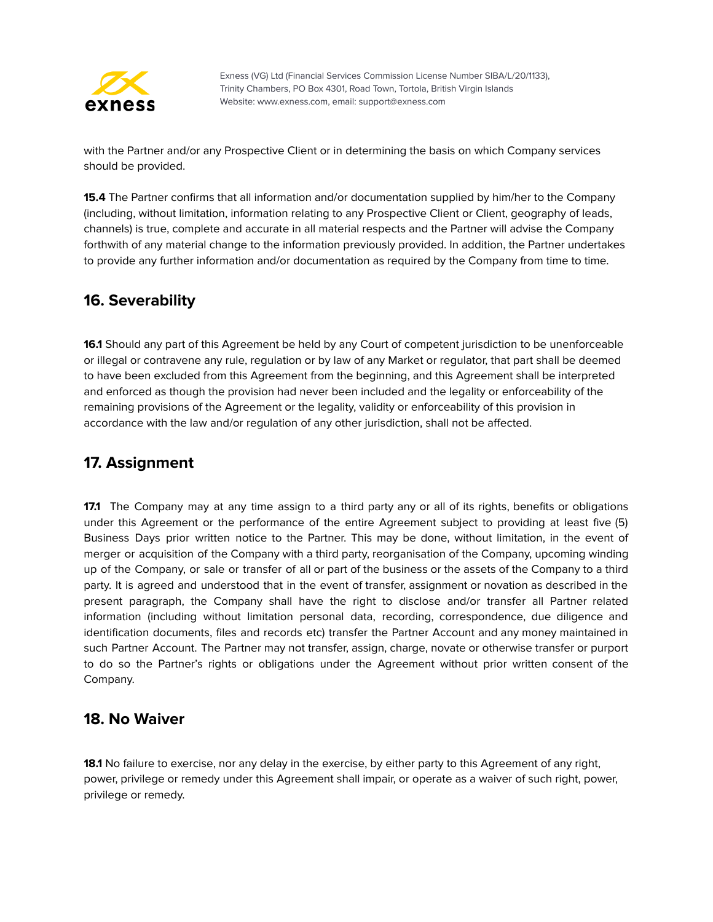

with the Partner and/or any Prospective Client or in determining the basis on which Company services should be provided.

**15.4** The Partner confirms that all information and/or documentation supplied by him/her to the Company (including, without limitation, information relating to any Prospective Client or Client, geography of leads, channels) is true, complete and accurate in all material respects and the Partner will advise the Company forthwith of any material change to the information previously provided. In addition, the Partner undertakes to provide any further information and/or documentation as required by the Company from time to time.

#### <span id="page-14-0"></span>**16. Severability**

**16.1** Should any part of this Agreement be held by any Court of competent jurisdiction to be unenforceable or illegal or contravene any rule, regulation or by law of any Market or regulator, that part shall be deemed to have been excluded from this Agreement from the beginning, and this Agreement shall be interpreted and enforced as though the provision had never been included and the legality or enforceability of the remaining provisions of the Agreement or the legality, validity or enforceability of this provision in accordance with the law and/or regulation of any other jurisdiction, shall not be affected.

# <span id="page-14-1"></span>**17. Assignment**

**17.1** The Company may at any time assign to a third party any or all of its rights, benefits or obligations under this Agreement or the performance of the entire Agreement subject to providing at least five (5) Business Days prior written notice to the Partner. This may be done, without limitation, in the event of merger or acquisition of the Company with a third party, reorganisation of the Company, upcoming winding up of the Company, or sale or transfer of all or part of the business or the assets of the Company to a third party. It is agreed and understood that in the event of transfer, assignment or novation as described in the present paragraph, the Company shall have the right to disclose and/or transfer all Partner related information (including without limitation personal data, recording, correspondence, due diligence and identification documents, files and records etc) transfer the Partner Account and any money maintained in such Partner Account. The Partner may not transfer, assign, charge, novate or otherwise transfer or purport to do so the Partner's rights or obligations under the Agreement without prior written consent of the Company.

#### <span id="page-14-2"></span>**18. No Waiver**

**18.1** No failure to exercise, nor any delay in the exercise, by either party to this Agreement of any right, power, privilege or remedy under this Agreement shall impair, or operate as a waiver of such right, power, privilege or remedy.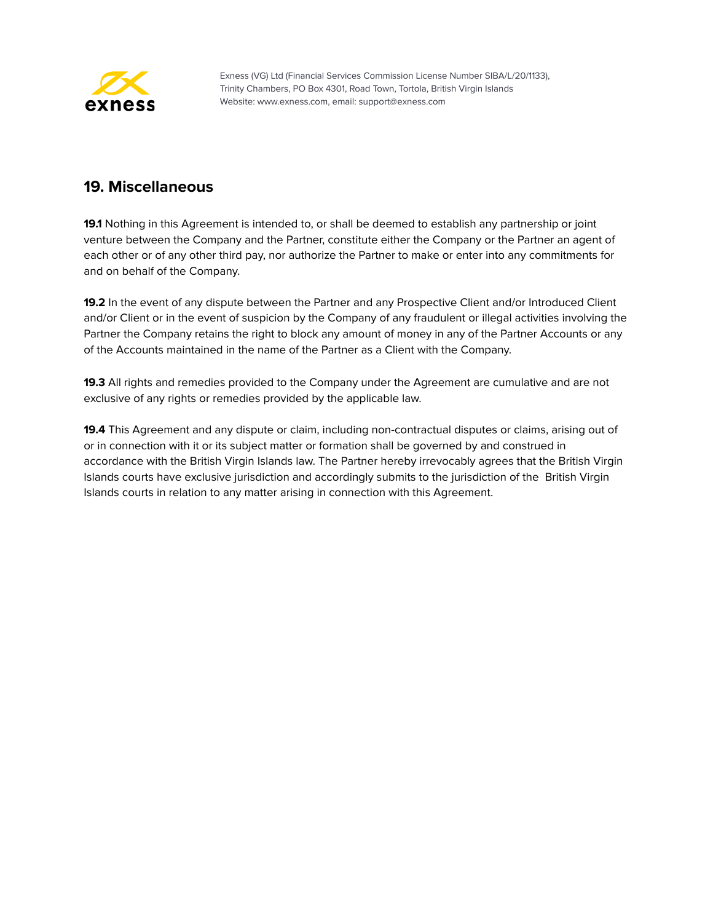

#### **19. Miscellaneous**

**19.1** Nothing in this Agreement is intended to, or shall be deemed to establish any partnership or joint venture between the Company and the Partner, constitute either the Company or the Partner an agent of each other or of any other third pay, nor authorize the Partner to make or enter into any commitments for and on behalf of the Company.

**19.2** In the event of any dispute between the Partner and any Prospective Client and/or Introduced Client and/or Client or in the event of suspicion by the Company of any fraudulent or illegal activities involving the Partner the Company retains the right to block any amount of money in any of the Partner Accounts or any of the Accounts maintained in the name of the Partner as a Client with the Company.

**19.3** All rights and remedies provided to the Company under the Agreement are cumulative and are not exclusive of any rights or remedies provided by the applicable law.

**19.4** This Agreement and any dispute or claim, including non-contractual disputes or claims, arising out of or in connection with it or its subject matter or formation shall be governed by and construed in accordance with the British Virgin Islands law. The Partner hereby irrevocably agrees that the British Virgin Islands courts have exclusive jurisdiction and accordingly submits to the jurisdiction of the British Virgin Islands courts in relation to any matter arising in connection with this Agreement.